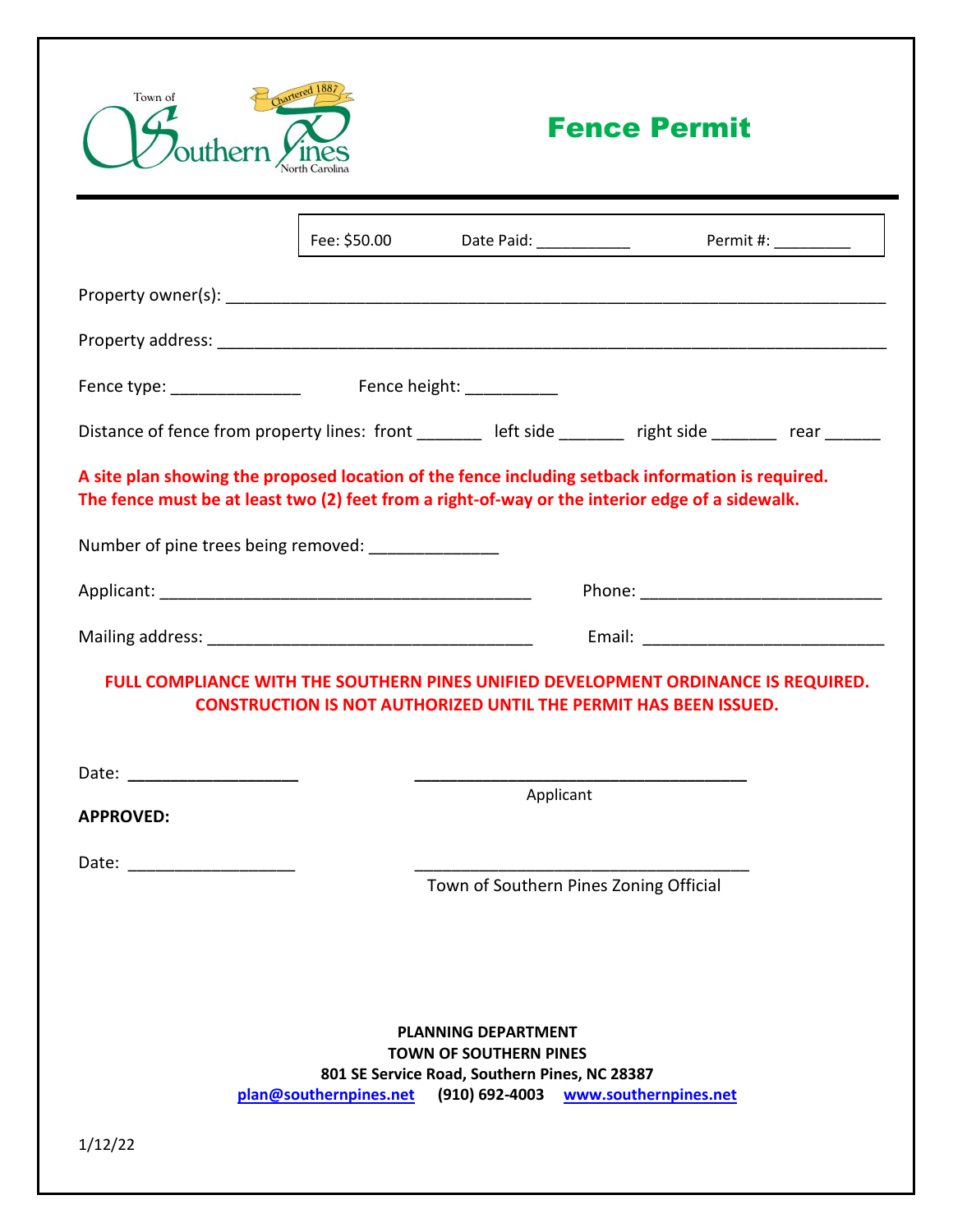

## Fence Permit

|                                                                                                                                                        |                                 |                                                                                                                                | Permit #: $\frac{1}{1}$                                                                                                                                       |
|--------------------------------------------------------------------------------------------------------------------------------------------------------|---------------------------------|--------------------------------------------------------------------------------------------------------------------------------|---------------------------------------------------------------------------------------------------------------------------------------------------------------|
|                                                                                                                                                        |                                 |                                                                                                                                |                                                                                                                                                               |
|                                                                                                                                                        |                                 |                                                                                                                                |                                                                                                                                                               |
|                                                                                                                                                        | Fence height: <u>containing</u> |                                                                                                                                |                                                                                                                                                               |
|                                                                                                                                                        |                                 |                                                                                                                                | Distance of fence from property lines: front _______ left side _______ right side ______ rear ______                                                          |
| The fence must be at least two (2) feet from a right-of-way or the interior edge of a sidewalk.<br>Number of pine trees being removed: _______________ |                                 |                                                                                                                                | A site plan showing the proposed location of the fence including setback information is required.                                                             |
|                                                                                                                                                        |                                 |                                                                                                                                |                                                                                                                                                               |
|                                                                                                                                                        |                                 |                                                                                                                                |                                                                                                                                                               |
|                                                                                                                                                        |                                 |                                                                                                                                | FULL COMPLIANCE WITH THE SOUTHERN PINES UNIFIED DEVELOPMENT ORDINANCE IS REQUIRED.<br><b>CONSTRUCTION IS NOT AUTHORIZED UNTIL THE PERMIT HAS BEEN ISSUED.</b> |
| <b>APPROVED:</b>                                                                                                                                       |                                 | Applicant                                                                                                                      |                                                                                                                                                               |
|                                                                                                                                                        |                                 | Town of Southern Pines Zoning Official                                                                                         |                                                                                                                                                               |
|                                                                                                                                                        | plan@southernpines.net          | <b>PLANNING DEPARTMENT</b><br><b>TOWN OF SOUTHERN PINES</b><br>801 SE Service Road, Southern Pines, NC 28387<br>(910) 692-4003 | www.southernpines.net                                                                                                                                         |